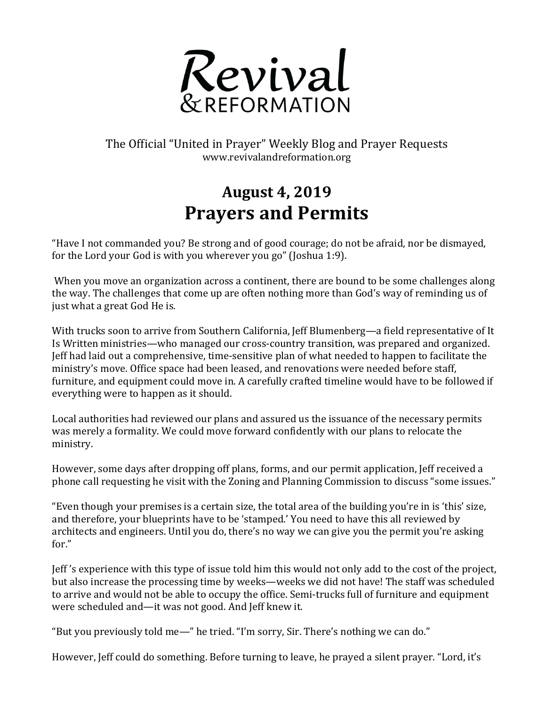

The Official "United in Prayer" Weekly Blog and Prayer Requests www.revivalandreformation.org

## **August 4, 2019 Prayers and Permits**

"Have I not commanded you? Be strong and of good courage; do not be afraid, nor be dismayed, for the Lord your God is with you wherever you go" (Joshua 1:9).

When you move an organization across a continent, there are bound to be some challenges along the way. The challenges that come up are often nothing more than God's way of reminding us of just what a great God He is.

With trucks soon to arrive from Southern California, Jeff Blumenberg—a field representative of It Is Written ministries—who managed our cross-country transition, was prepared and organized. Jeff had laid out a comprehensive, time-sensitive plan of what needed to happen to facilitate the ministry's move. Office space had been leased, and renovations were needed before staff, furniture, and equipment could move in. A carefully crafted timeline would have to be followed if everything were to happen as it should.

Local authorities had reviewed our plans and assured us the issuance of the necessary permits was merely a formality. We could move forward confidently with our plans to relocate the ministry.

However, some days after dropping off plans, forms, and our permit application, Jeff received a phone call requesting he visit with the Zoning and Planning Commission to discuss "some issues."

"Even though your premises is a certain size, the total area of the building you're in is 'this' size, and therefore, your blueprints have to be 'stamped.' You need to have this all reviewed by architects and engineers. Until you do, there's no way we can give you the permit you're asking for."

Jeff's experience with this type of issue told him this would not only add to the cost of the project, but also increase the processing time by weeks—weeks we did not have! The staff was scheduled to arrive and would not be able to occupy the office. Semi-trucks full of furniture and equipment were scheduled and—it was not good. And Jeff knew it.

"But you previously told me—" he tried. "I'm sorry, Sir. There's nothing we can do."

However, Jeff could do something. Before turning to leave, he prayed a silent prayer. "Lord, it's